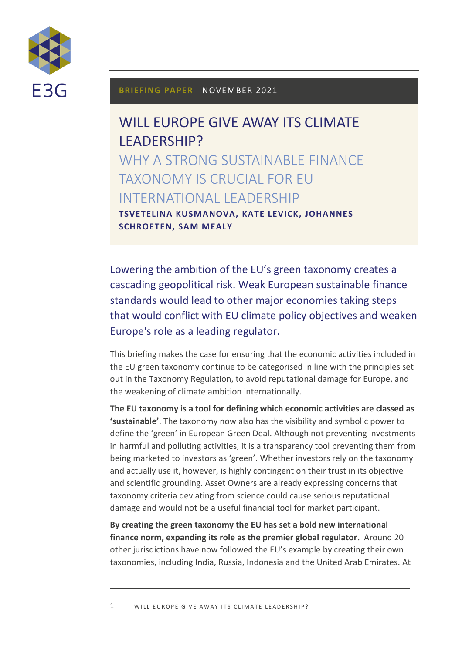

#### **BRIEFING PAPER** NOVEMBER 2021

# WILL EUROPE GIVE AWAY ITS CLIMATE LEADERSHIP? WHY A STRONG SUSTAINABLE FINANCE TAXONOMY IS CRUCIAL FOR EU INTERNATIONAL LEADERSHIP **TSVETELINA KUSMANOVA, KATE LEVICK, JOHANNES**

**SCHROETEN, SAM MEALY**

Lowering the ambition of the EU's green taxonomy creates a cascading geopolitical risk. Weak European sustainable finance standards would lead to other major economies taking steps that would conflict with EU climate policy objectives and weaken Europe's role as a leading regulator.

This briefing makes the case for ensuring that the economic activities included in the EU green taxonomy continue to be categorised in line with the principles set out in the Taxonomy Regulation, to avoid reputational damage for Europe, and the weakening of climate ambition internationally.

**The EU taxonomy is a tool for defining which economic activities are classed as 'sustainable'**. The taxonomy now also has the visibility and symbolic power to define the 'green' in European Green Deal. Although not preventing investments in harmful and polluting activities, it is a transparency tool preventing them from being marketed to investors as 'green'. Whether investors rely on the taxonomy and actually use it, however, is highly contingent on their trust in its objective and scientific grounding. Asset Owners are already expressing concerns that taxonomy criteria deviating from science could cause serious reputational damage and would not be a useful financial tool for market participant.

**By creating the green taxonomy the EU has set a bold new international finance norm, expanding its role as the premier global regulator.** Around 20 other jurisdictions have now followed the EU's example by creating their own taxonomies, including India, Russia, Indonesia and the United Arab Emirates. At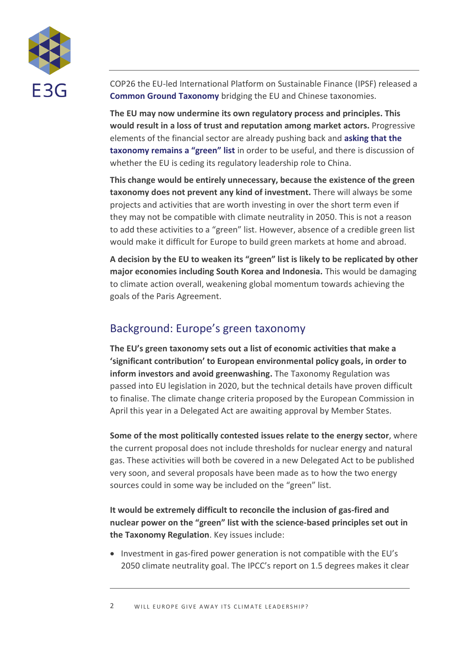

COP26 the EU-led International Platform on Sustainable Finance (IPSF) released a **[Common Ground Taxonomy](https://ec.europa.eu/info/sites/default/files/business_economy_euro/banking_and_finance/documents/211104-ipsf-common-ground-taxonomy-instruction-report_en.pdf)** bridging the EU and Chinese taxonomies.

**The EU may now undermine its own regulatory process and principles. This would result in a loss of trust and reputation among market actors.** Progressive elements of the financial sector are already pushing back and **[asking that the](https://www.bloomberg.com/news/articles/2021-11-08/net-zero-alliance-plans-to-reject-gas-nuclear-as-green-assets)  [taxonomy remains a "green" list](https://www.bloomberg.com/news/articles/2021-11-08/net-zero-alliance-plans-to-reject-gas-nuclear-as-green-assets)** in order to be useful, and there is discussion of whether the EU is ceding its regulatory leadership role to China.

**This change would be entirely unnecessary, because the existence of the green taxonomy does not prevent any kind of investment.** There will always be some projects and activities that are worth investing in over the short term even if they may not be compatible with climate neutrality in 2050. This is not a reason to add these activities to a "green" list. However, absence of a credible green list would make it difficult for Europe to build green markets at home and abroad.

**A decision by the EU to weaken its "green" list is likely to be replicated by other major economies including South Korea and Indonesia.** This would be damaging to climate action overall, weakening global momentum towards achieving the goals of the Paris Agreement.

## Background: Europe's green taxonomy

**The EU's green taxonomy sets out a list of economic activities that make a 'significant contribution' to European environmental policy goals, in order to inform investors and avoid greenwashing.** The Taxonomy Regulation was passed into EU legislation in 2020, but the technical details have proven difficult to finalise. The climate change criteria proposed by the European Commission in April this year in a Delegated Act are awaiting approval by Member States.

**Some of the most politically contested issues relate to the energy sector**, where the current proposal does not include thresholds for nuclear energy and natural gas. These activities will both be covered in a new Delegated Act to be published very soon, and several proposals have been made as to how the two energy sources could in some way be included on the "green" list.

**It would be extremely difficult to reconcile the inclusion of gas-fired and nuclear power on the "green" list with the science-based principles set out in the Taxonomy Regulation**. Key issues include:

• Investment in gas-fired power generation is not compatible with the EU's 2050 climate neutrality goal. The IPCC's report on 1.5 degrees makes it clear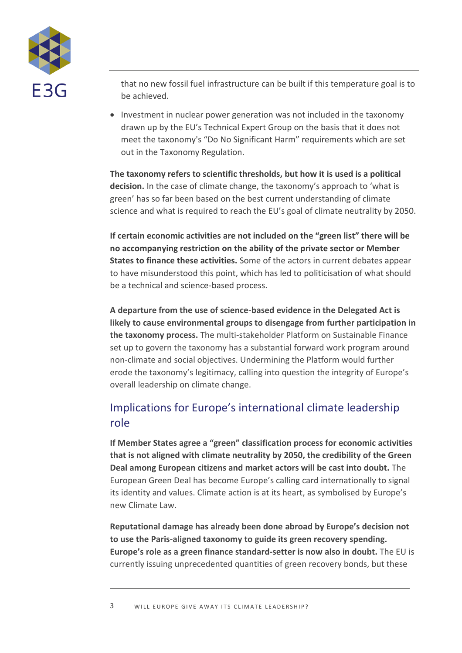

that no new fossil fuel infrastructure can be built if this temperature goal is to be achieved.

• Investment in nuclear power generation was not included in the taxonomy drawn up by the EU's Technical Expert Group on the basis that it does not meet the taxonomy's "Do No Significant Harm" requirements which are set out in the Taxonomy Regulation.

**The taxonomy refers to scientific thresholds, but how it is used is a political decision.** In the case of climate change, the taxonomy's approach to 'what is green' has so far been based on the best current understanding of climate science and what is required to reach the EU's goal of climate neutrality by 2050.

**If certain economic activities are not included on the "green list" there will be no accompanying restriction on the ability of the private sector or Member States to finance these activities.** Some of the actors in current debates appear to have misunderstood this point, which has led to politicisation of what should be a technical and science-based process.

**A departure from the use of science-based evidence in the Delegated Act is likely to cause environmental groups to disengage from further participation in the taxonomy process.** The multi-stakeholder Platform on Sustainable Finance set up to govern the taxonomy has a substantial forward work program around non-climate and social objectives. Undermining the Platform would further erode the taxonomy's legitimacy, calling into question the integrity of Europe's overall leadership on climate change.

# Implications for Europe's international climate leadership role

**If Member States agree a "green" classification process for economic activities that is not aligned with climate neutrality by 2050, the credibility of the Green Deal among European citizens and market actors will be cast into doubt.** The European Green Deal has become Europe's calling card internationally to signal its identity and values. Climate action is at its heart, as symbolised by Europe's new Climate Law.

**Reputational damage has already been done abroad by Europe's decision not to use the Paris-aligned taxonomy to guide its green recovery spending. Europe's role as a green finance standard-setter is now also in doubt.** The EU is currently issuing unprecedented quantities of green recovery bonds, but these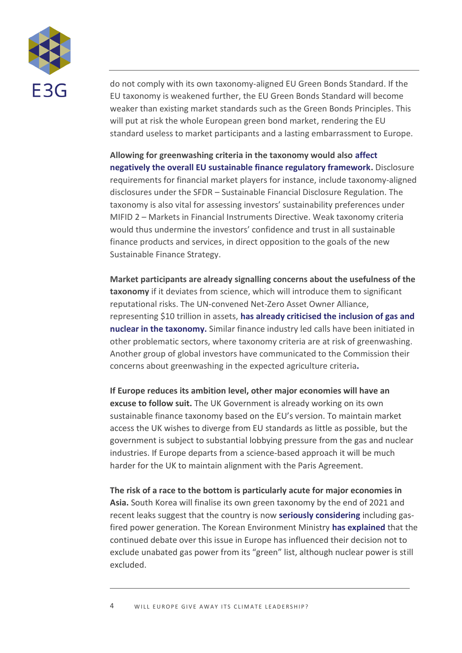

do not comply with its own taxonomy-aligned EU Green Bonds Standard. If the EU taxonomy is weakened further, the EU Green Bonds Standard will become weaker than existing market standards such as the Green Bonds Principles. This will put at risk the whole European green bond market, rendering the EU standard useless to market participants and a lasting embarrassment to Europe.

**Allowing for greenwashing criteria in the taxonomy would also [affect](https://www.eurosif.org/wp-content/uploads/2021/11/2021-11-24-Eurosif-Statement-Taxonomy-Gas-Nuclear.pdf)  [negatively the overall EU sustainable finance regulatory framework.](https://www.eurosif.org/wp-content/uploads/2021/11/2021-11-24-Eurosif-Statement-Taxonomy-Gas-Nuclear.pdf)** Disclosure requirements for financial market players for instance, include taxonomy-aligned disclosures under the SFDR – Sustainable Financial Disclosure Regulation. The taxonomy is also vital for assessing investors' sustainability preferences under MIFID 2 – Markets in Financial Instruments Directive. Weak taxonomy criteria would thus undermine the investors' confidence and trust in all sustainable finance products and services, in direct opposition to the goals of the new Sustainable Finance Strategy.

**Market participants are already signalling concerns about the usefulness of the taxonomy** if it deviates from science, which will introduce them to significant reputational risks. The UN-convened Net-Zero Asset Owner Alliance, representing \$10 trillion in assets, **[has already criticised the inclusion of gas and](https://www.bloomberg.com/news/articles/2021-11-08/net-zero-alliance-plans-to-reject-gas-nuclear-as-green-assets)  [nuclear in the taxonomy.](https://www.bloomberg.com/news/articles/2021-11-08/net-zero-alliance-plans-to-reject-gas-nuclear-as-green-assets)** Similar finance industry led calls have been initiated in other problematic sectors, where taxonomy criteria are at risk of greenwashing. Another group of global investors have communicated to the Commission their [concerns about greenwashing in the](https://www.reuters.com/business/cop/exclusive-investors-warn-eu-against-badging-intensive-farming-sustainable-2021-11-24/) expected agriculture criteria**.**

**If Europe reduces its ambition level, other major economies will have an excuse to follow suit.** The UK Government is already working on its own sustainable finance taxonomy based on the EU's version. To maintain market access the UK wishes to diverge from EU standards as little as possible, but the government is subject to substantial lobbying pressure from the gas and nuclear industries. If Europe departs from a science-based approach it will be much harder for the UK to maintain alignment with the Paris Agreement.

**The risk of a race to the bottom is particularly acute for major economies in Asia.** South Korea will finalise its own green taxonomy by the end of 2021 and recent leaks suggest that the country is now **[seriously considering](https://ieefa.org/ieefa-accepting-gas-as-sustainable-will-hurt-south-koreas-green-finance-credentials/?utm_source=rss&utm_medium=rss&utm_campaign=ieefa-accepting-gas-as-sustainable-will-hurt-south-koreas-green-finance-credentials)** including gasfired power generation. The Korean Environment Ministry **[has explained](https://www.hani.co.kr/arti/society/environment/1016609.html)** that the continued debate over this issue in Europe has influenced their decision not to exclude unabated gas power from its "green" list, although nuclear power is still excluded.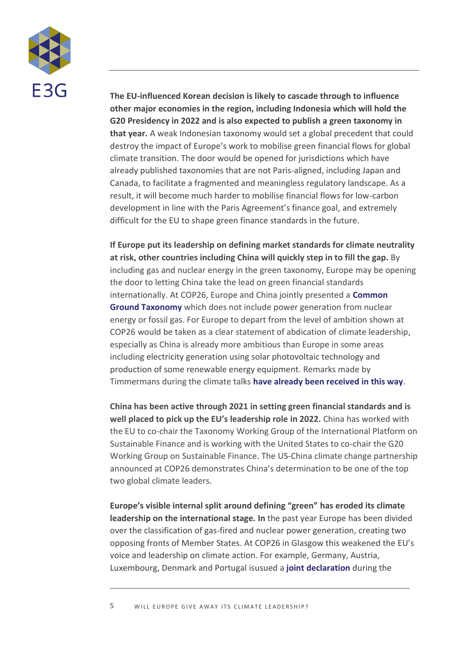

**The EU-influenced Korean decision is likely to cascade through to influence other major economies in the region, including Indonesia which will hold the G20 Presidency in 2022 and is also expected to publish a green taxonomy in that year.** A weak Indonesian taxonomy would set a global precedent that could destroy the impact of Europe's work to mobilise green financial flows for global climate transition. The door would be opened for jurisdictions which have already published taxonomies that are not Paris-aligned, including Japan and Canada, to facilitate a fragmented and meaningless regulatory landscape. As a result, it will become much harder to mobilise financial flows for low-carbon development in line with the Paris Agreement's finance goal, and extremely difficult for the EU to shape green finance standards in the future.

**If Europe put its leadership on defining market standards for climate neutrality at risk, other countries including China will quickly step in to fill the gap.** By including gas and nuclear energy in the green taxonomy, Europe may be opening the door to letting China take the lead on green financial standards internationally. At COP26, Europe and China jointly presented a **[Common](https://ec.europa.eu/info/sites/default/files/business_economy_euro/banking_and_finance/documents/211104-ipsf-common-ground-taxonomy_table_en.pdf)  [Ground Taxonomy](https://ec.europa.eu/info/sites/default/files/business_economy_euro/banking_and_finance/documents/211104-ipsf-common-ground-taxonomy_table_en.pdf)** which does not include power generation from nuclear energy or fossil gas. For Europe to depart from the level of ambition shown at COP26 would be taken as a clear statement of abdication of climate leadership, especially as China is already more ambitious than Europe in some areas including electricity generation using solar photovoltaic technology and production of some renewable energy equipment. Remarks made by Timmermans during the climate talks **[have already been received in this way](https://www.responsible-investor.com/articles/the-eu-is-considering-bowing-out-of-a-gold-standard-taxonomy-leaving-room-for-china-to-take-the-lea)**.

**China has been active through 2021 in setting green financial standards and is well placed to pick up the EU's leadership role in 2022.** China has worked with the EU to co-chair the Taxonomy Working Group of the International Platform on Sustainable Finance and is working with the United States to co-chair the G20 Working Group on Sustainable Finance. The US-China climate change partnership announced at COP26 demonstrates China's determination to be one of the top two global climate leaders.

**Europe's visible internal split around defining "green" has eroded its climate leadership on the international stage. In** the past year Europe has been divided over the classification of gas-fired and nuclear power generation, creating two opposing fronts of Member States. At COP26 in Glasgow this weakened the EU's voice and leadership on climate action. For example, [Germany, Austria,](https://www.bmu.de/meldung/joint-declaration-for-a-nuclear-free-eu-taxonomy-de)  [Luxembourg, Denmark and Portugal isusued a](https://www.bmu.de/meldung/joint-declaration-for-a-nuclear-free-eu-taxonomy-de) **[joint declaration](https://www.bmu.de/meldung/joint-declaration-for-a-nuclear-free-eu-taxonomy-de)** during the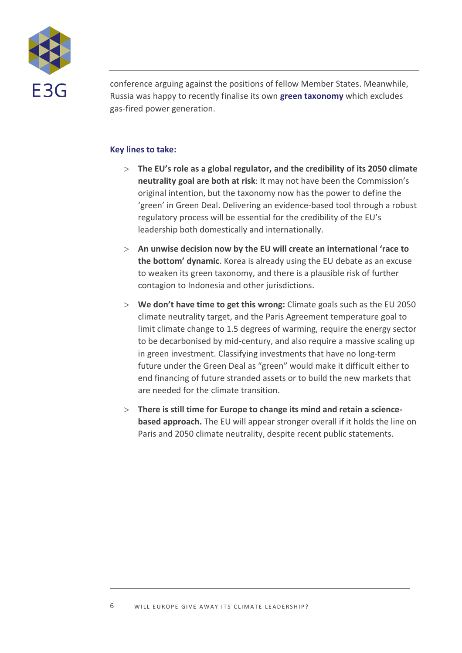

conference arguing against the positions of fellow Member States. Meanwhile, Russia was happy to recently finalise its own **[green taxonomy](https://www.climatebonds.net/resources/press-releases/2021/11/russian-federation-adopts-green-taxonomy-matches-100g-co2%C2%A0gas-power)** which excludes gas-fired power generation.

### **Key lines to take:**

- **The EU's role as a global regulator, and the credibility of its 2050 climate neutrality goal are both at risk**: It may not have been the Commission's original intention, but the taxonomy now has the power to define the 'green' in Green Deal. Delivering an evidence-based tool through a robust regulatory process will be essential for the credibility of the EU's leadership both domestically and internationally.
- **An unwise decision now by the EU will create an international 'race to the bottom' dynamic**. Korea is already using the EU debate as an excuse to weaken its green taxonomy, and there is a plausible risk of further contagion to Indonesia and other jurisdictions.
- **We don't have time to get this wrong:** Climate goals such as the EU 2050 climate neutrality target, and the Paris Agreement temperature goal to limit climate change to 1.5 degrees of warming, require the energy sector to be decarbonised by mid-century, and also require a massive scaling up in green investment. Classifying investments that have no long-term future under the Green Deal as "green" would make it difficult either to end financing of future stranded assets or to build the new markets that are needed for the climate transition.
- **There is still time for Europe to change its mind and retain a sciencebased approach.** The EU will appear stronger overall if it holds the line on Paris and 2050 climate neutrality, despite recent public statements.